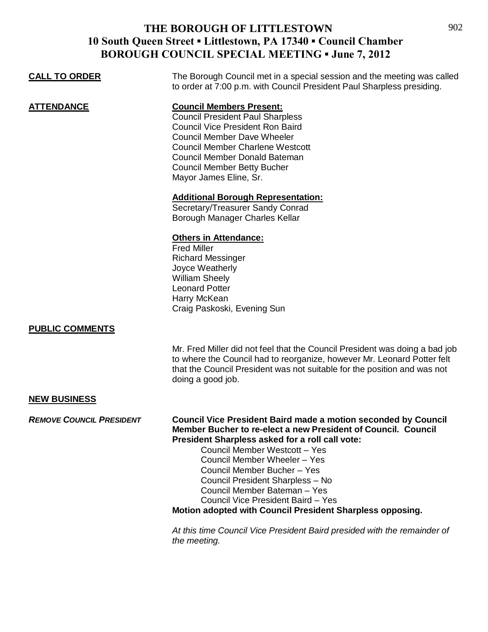## **THE BOROUGH OF LITTLESTOWN 10 South Queen Street ▪ Littlestown, PA 17340 ▪ Council Chamber BOROUGH COUNCIL SPECIAL MEETING ▪ June 7, 2012**

| <b>BOROUGH COUNCIL SPECIAL MEETING • June 7, 2012</b> |                                                                                                                                                                                                                                                                                                                                                                                                     |
|-------------------------------------------------------|-----------------------------------------------------------------------------------------------------------------------------------------------------------------------------------------------------------------------------------------------------------------------------------------------------------------------------------------------------------------------------------------------------|
| <b>CALL TO ORDER</b>                                  | The Borough Council met in a special session and the meeting was called<br>to order at 7:00 p.m. with Council President Paul Sharpless presiding.                                                                                                                                                                                                                                                   |
| <b>ATTENDANCE</b>                                     | <b>Council Members Present:</b><br><b>Council President Paul Sharpless</b><br><b>Council Vice President Ron Baird</b><br><b>Council Member Dave Wheeler</b><br><b>Council Member Charlene Westcott</b><br>Council Member Donald Bateman<br><b>Council Member Betty Bucher</b><br>Mayor James Eline, Sr.                                                                                             |
|                                                       | <b>Additional Borough Representation:</b><br>Secretary/Treasurer Sandy Conrad<br>Borough Manager Charles Kellar                                                                                                                                                                                                                                                                                     |
|                                                       | <b>Others in Attendance:</b><br><b>Fred Miller</b><br><b>Richard Messinger</b><br>Joyce Weatherly<br><b>William Sheely</b><br><b>Leonard Potter</b><br>Harry McKean<br>Craig Paskoski, Evening Sun                                                                                                                                                                                                  |
| <b>PUBLIC COMMENTS</b>                                |                                                                                                                                                                                                                                                                                                                                                                                                     |
|                                                       | Mr. Fred Miller did not feel that the Council President was doing a bad job<br>to where the Council had to reorganize, however Mr. Leonard Potter felt<br>that the Council President was not suitable for the position and was not<br>doing a good job.                                                                                                                                             |
| <b>NEW BUSINESS</b>                                   |                                                                                                                                                                                                                                                                                                                                                                                                     |
| <b>REMOVE COUNCIL PRESIDENT</b>                       | <b>Council Vice President Baird made a motion seconded by Council</b><br>Member Bucher to re-elect a new President of Council. Council<br>President Sharpless asked for a roll call vote:<br>Council Member Westcott - Yes<br>Council Member Wheeler - Yes<br>Council Member Bucher - Yes<br>Council President Sharpless - No<br>Council Member Bateman - Yes<br>Council Vice President Baird - Yes |

**Motion adopted with Council President Sharpless opposing.**

*At this time Council Vice President Baird presided with the remainder of the meeting.*